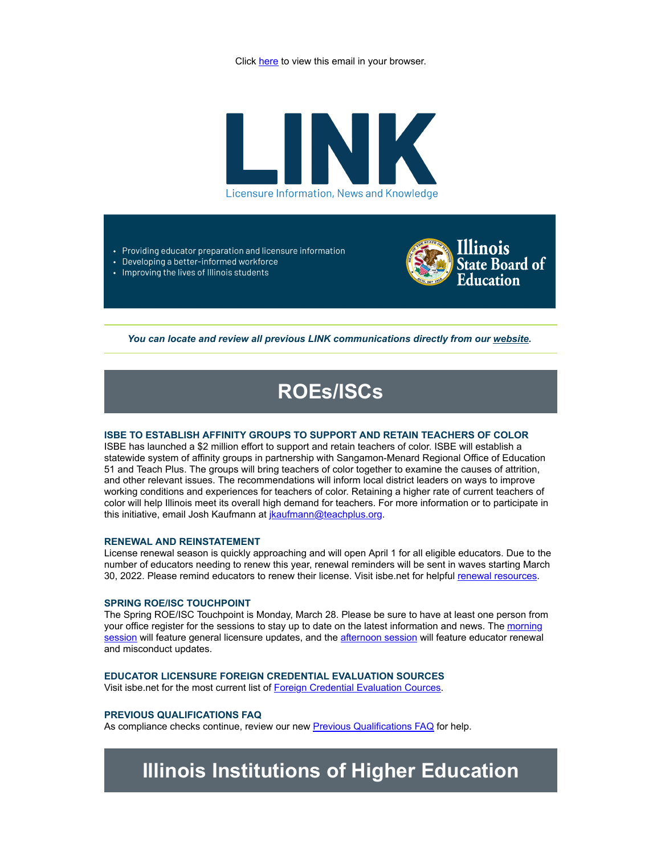Click here to view this email in your browser.



- Providing educator preparation and licensure information
- Developing a better-informed workforce • Improving the lives of Illinois students



You can locate and review all previous LINK communications directly from our [website.](http://link.isbe.net/c/7/eyJhaSI6OTAyMDg4NDQsImUiOiJtbG92ZWxhY0Bpc2JlLm5ldCIsInJpIjoiY29udGFjdC02NTIxMDIyOGU1MWJlYzExYjZlNjAwMGQzYTMzNjBlNC1mM2Q5OTVmMTg5MTk0NTM3OTUzNTg4NTI2MjIxMDVkNyIsInJxIjoiMDItYjIyMDgzLWU1ZTJkY2RjNjI4ZTRjOGE5YjU5M2MzODQ2MTc5OGE2IiwicGgiOm51bGwsIm0iOnRydWUsInVpIjoiMiIsInVuIjoiIiwidSI6Imh0dHBzOi8vd3d3LmlzYmUubmV0L1BhZ2VzL0xpY2Vuc3VyZS5hc3B4P19jbGRlZT1iV3h2ZG1Wc1lXTkFhWE5pWlM1dVpYUSUzZCZyZWNpcGllbnRpZD1jb250YWN0LTY1MjEwMjI4ZTUxYmVjMTFiNmU2MDAwZDNhMzM2MGU0LWYzZDk5NWYxODkxOTQ1Mzc5NTM1ODg1MjYyMjEwNWQ3JmVzaWQ9YzNkNmExZmQtYzhhYS1lYzExLTk4M2YtMDAwZDNhMzFjYTBiIn0/-K2lCcI0dJbO8pLC_b69xw)

# **ROEs/ISCs**

### **ISBE TO ESTABLISH AFFINITY GROUPS TO SUPPORT AND RETAIN TEACHERS OF COLOR**

ISBE has launched a \$2 million effort to support and retain teachers of color. ISBE will establish a statewide system of affinity groups in partnership with Sangamon-Menard Regional Office of Education 51 and Teach Plus. The groups will bring teachers of color together to examine the causes of attrition, and other relevant issues. The recommendations will inform local district leaders on ways to improve working conditions and experiences for teachers of color. Retaining a higher rate of current teachers of color will help Illinois meet its overall high demand for teachers. For more information or to participate in this initiative, email Josh Kaufmann at [jkaufmann@teachplus.org.](mailto:jkaufmann@teachplus.org)

### **RENEWAL AND REINSTATEMENT**

License renewal season is quickly approaching and will open April 1 for all eligible educators. Due to the number of educators needing to renew this year, renewal reminders will be sent in waves starting March 30, 2022. Please remind educators to renew their license. Visit isbe.net for helpful [renewal resources.](http://link.isbe.net/c/7/eyJhaSI6OTAyMDg4NDQsImUiOiJtbG92ZWxhY0Bpc2JlLm5ldCIsInJpIjoiY29udGFjdC02NTIxMDIyOGU1MWJlYzExYjZlNjAwMGQzYTMzNjBlNC1mM2Q5OTVmMTg5MTk0NTM3OTUzNTg4NTI2MjIxMDVkNyIsInJxIjoiMDItYjIyMDgzLWU1ZTJkY2RjNjI4ZTRjOGE5YjU5M2MzODQ2MTc5OGE2IiwicGgiOm51bGwsIm0iOnRydWUsInVpIjoiMyIsInVuIjoiIiwidSI6Imh0dHBzOi8vd3d3LmlzYmUubmV0L1BhZ2VzL0VkdWNhdG9yLVJlbmV3YWwuYXNweD9fY2xkZWU9Yld4dmRtVnNZV05BYVhOaVpTNXVaWFElM2QmcmVjaXBpZW50aWQ9Y29udGFjdC02NTIxMDIyOGU1MWJlYzExYjZlNjAwMGQzYTMzNjBlNC1mM2Q5OTVmMTg5MTk0NTM3OTUzNTg4NTI2MjIxMDVkNyZlc2lkPWMzZDZhMWZkLWM4YWEtZWMxMS05ODNmLTAwMGQzYTMxY2EwYiJ9/J-21apvcz1euZtIYQTM73A)

### **SPRING ROE/ISC TOUCHPOINT**

The Spring ROE/ISC Touchpoint is Monday, March 28. Please be sure to have at least one person from [your office register for the sessions to stay up to date on the latest information and news. The morning](http://link.isbe.net/c/7/eyJhaSI6OTAyMDg4NDQsImUiOiJtbG92ZWxhY0Bpc2JlLm5ldCIsInJpIjoiY29udGFjdC02NTIxMDIyOGU1MWJlYzExYjZlNjAwMGQzYTMzNjBlNC1mM2Q5OTVmMTg5MTk0NTM3OTUzNTg4NTI2MjIxMDVkNyIsInJxIjoiMDItYjIyMDgzLWU1ZTJkY2RjNjI4ZTRjOGE5YjU5M2MzODQ2MTc5OGE2IiwicGgiOm51bGwsIm0iOnRydWUsInVpIjoiNCIsInVuIjoiIiwidSI6Imh0dHBzOi8vdXMwNndlYi56b29tLnVzL21lZXRpbmcvcmVnaXN0ZXIvdFpZcmZ1dXJwenNzSGRYaFF2NkhuUlR3cVJfeVBIem80RmdaP19jbGRlZT1iV3h2ZG1Wc1lXTkFhWE5pWlM1dVpYUSUzZCZyZWNpcGllbnRpZD1jb250YWN0LTY1MjEwMjI4ZTUxYmVjMTFiNmU2MDAwZDNhMzM2MGU0LWYzZDk5NWYxODkxOTQ1Mzc5NTM1ODg1MjYyMjEwNWQ3JmVzaWQ9YzNkNmExZmQtYzhhYS1lYzExLTk4M2YtMDAwZDNhMzFjYTBiIn0/u28DaU6iIRYGMVHIp3q8Jg) session will feature general licensure updates, and the [afternoon session](http://link.isbe.net/c/7/eyJhaSI6OTAyMDg4NDQsImUiOiJtbG92ZWxhY0Bpc2JlLm5ldCIsInJpIjoiY29udGFjdC02NTIxMDIyOGU1MWJlYzExYjZlNjAwMGQzYTMzNjBlNC1mM2Q5OTVmMTg5MTk0NTM3OTUzNTg4NTI2MjIxMDVkNyIsInJxIjoiMDItYjIyMDgzLWU1ZTJkY2RjNjI4ZTRjOGE5YjU5M2MzODQ2MTc5OGE2IiwicGgiOm51bGwsIm0iOnRydWUsInVpIjoiNSIsInVuIjoiIiwidSI6Imh0dHBzOi8vdXMwNndlYi56b29tLnVzL21lZXRpbmcvcmVnaXN0ZXIvdFpZa2MteXRxVElqR2RKZ2piaEFVTDhhWldvNG11bmpSdnlIP19jbGRlZT1iV3h2ZG1Wc1lXTkFhWE5pWlM1dVpYUSUzZCZyZWNpcGllbnRpZD1jb250YWN0LTY1MjEwMjI4ZTUxYmVjMTFiNmU2MDAwZDNhMzM2MGU0LWYzZDk5NWYxODkxOTQ1Mzc5NTM1ODg1MjYyMjEwNWQ3JmVzaWQ9YzNkNmExZmQtYzhhYS1lYzExLTk4M2YtMDAwZDNhMzFjYTBiIn0/HW5KUbXWIu741WOTo06Mmw) will feature educator renewal and misconduct updates.

### **EDUCATOR LICENSURE FOREIGN CREDENTIAL EVALUATION SOURCES**

Visit isbe.net for the most current list of [Foreign Credential Evaluation Cources.](http://link.isbe.net/c/7/eyJhaSI6OTAyMDg4NDQsImUiOiJtbG92ZWxhY0Bpc2JlLm5ldCIsInJpIjoiY29udGFjdC02NTIxMDIyOGU1MWJlYzExYjZlNjAwMGQzYTMzNjBlNC1mM2Q5OTVmMTg5MTk0NTM3OTUzNTg4NTI2MjIxMDVkNyIsInJxIjoiMDItYjIyMDgzLWU1ZTJkY2RjNjI4ZTRjOGE5YjU5M2MzODQ2MTc5OGE2IiwicGgiOm51bGwsIm0iOnRydWUsInVpIjoiNiIsInVuIjoiIiwidSI6Imh0dHBzOi8vd3d3LmlzYmUubmV0L0RvY3VtZW50cy9mb3JlaWduLWNyZWQtZXZhbC1zdmNzLnBkZj9fY2xkZWU9Yld4dmRtVnNZV05BYVhOaVpTNXVaWFElM2QmcmVjaXBpZW50aWQ9Y29udGFjdC02NTIxMDIyOGU1MWJlYzExYjZlNjAwMGQzYTMzNjBlNC1mM2Q5OTVmMTg5MTk0NTM3OTUzNTg4NTI2MjIxMDVkNyZlc2lkPWMzZDZhMWZkLWM4YWEtZWMxMS05ODNmLTAwMGQzYTMxY2EwYiJ9/973xbEODRHOlqEGpLICPJg)

### **PREVIOUS QUALIFICATIONS FAQ**

As compliance checks continue, review our new **[Previous Qualifications FAQ](http://link.isbe.net/c/7/eyJhaSI6OTAyMDg4NDQsImUiOiJtbG92ZWxhY0Bpc2JlLm5ldCIsInJpIjoiY29udGFjdC02NTIxMDIyOGU1MWJlYzExYjZlNjAwMGQzYTMzNjBlNC1mM2Q5OTVmMTg5MTk0NTM3OTUzNTg4NTI2MjIxMDVkNyIsInJxIjoiMDItYjIyMDgzLWU1ZTJkY2RjNjI4ZTRjOGE5YjU5M2MzODQ2MTc5OGE2IiwicGgiOm51bGwsIm0iOnRydWUsInVpIjoiNyIsInVuIjoiIiwidSI6Imh0dHBzOi8vd3d3LmlzYmUubmV0L0RvY3VtZW50cy9QcmV2LVF1YWwtRkFRLnBkZj9fY2xkZWU9Yld4dmRtVnNZV05BYVhOaVpTNXVaWFElM2QmcmVjaXBpZW50aWQ9Y29udGFjdC02NTIxMDIyOGU1MWJlYzExYjZlNjAwMGQzYTMzNjBlNC1mM2Q5OTVmMTg5MTk0NTM3OTUzNTg4NTI2MjIxMDVkNyZlc2lkPWMzZDZhMWZkLWM4YWEtZWMxMS05ODNmLTAwMGQzYTMxY2EwYiJ9/Bk8xedGKWTV7JJP7Fr-Wtg)** for help.

## **Illinois Institutions of Higher Education**